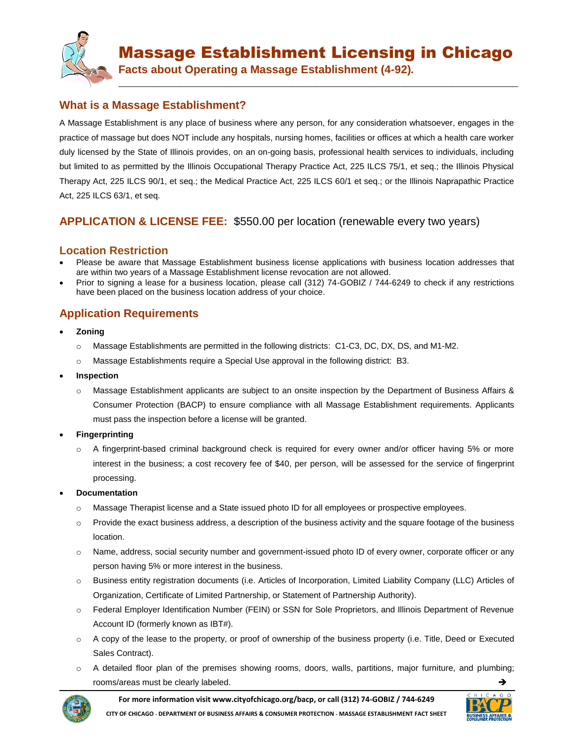

**\_\_\_\_\_\_\_\_\_\_\_\_\_\_\_\_\_\_\_\_\_\_\_\_\_\_\_\_\_\_\_\_\_\_\_\_\_\_\_\_\_\_\_\_\_\_\_\_\_\_\_\_\_\_\_\_\_\_\_\_\_\_\_\_\_\_\_\_\_\_\_\_\_\_\_\_\_\_\_\_\_\_\_\_\_**

**Facts about Operating a Massage Establishment (4-92)***.*

## **What is a Massage Establishment?**

A Massage Establishment is any place of business where any person, for any consideration whatsoever, engages in the practice of massage but does NOT include any hospitals, nursing homes, facilities or offices at which a health care worker duly licensed by the State of Illinois provides, on an on-going basis, professional health services to individuals, including but limited to as permitted by the Illinois Occupational Therapy Practice Act, 225 ILCS 75/1, et seq.; the Illinois Physical Therapy Act, 225 ILCS 90/1, et seq.; the Medical Practice Act, 225 ILCS 60/1 et seq.; or the Illinois Naprapathic Practice Act, 225 ILCS 63/1, et seq.

## **APPLICATION & LICENSE FEE:** \$550.00 per location (renewable every two years)

#### **Location Restriction**

- Please be aware that Massage Establishment business license applications with business location addresses that are within two years of a Massage Establishment license revocation are not allowed.
- Prior to signing a lease for a business location, please call (312) 74-GOBIZ / 744-6249 to check if any restrictions have been placed on the business location address of your choice.

# **Application Requirements**

- **Zoning**
	- o Massage Establishments are permitted in the following districts: C1-C3, DC, DX, DS, and M1-M2.
	- o Massage Establishments require a Special Use approval in the following district: B3.
- **Inspection**
	- o Massage Establishment applicants are subject to an onsite inspection by the Department of Business Affairs & Consumer Protection (BACP) to ensure compliance with all Massage Establishment requirements. Applicants must pass the inspection before a license will be granted.
- **Fingerprinting**
	- o A fingerprint-based criminal background check is required for every owner and/or officer having 5% or more interest in the business; a cost recovery fee of \$40, per person, will be assessed for the service of fingerprint processing.
- **Documentation**
	- o Massage Therapist license and a State issued photo ID for all employees or prospective employees.
	- $\circ$  Provide the exact business address, a description of the business activity and the square footage of the business location.
	- o Name, address, social security number and government-issued photo ID of every owner, corporate officer or any person having 5% or more interest in the business.
	- o Business entity registration documents (i.e. Articles of Incorporation, Limited Liability Company (LLC) Articles of Organization, Certificate of Limited Partnership, or Statement of Partnership Authority).
	- o Federal Employer Identification Number (FEIN) or SSN for Sole Proprietors, and Illinois Department of Revenue Account ID (formerly known as IBT#).
	- $\circ$  A copy of the lease to the property, or proof of ownership of the business property (i.e. Title, Deed or Executed Sales Contract).
	- o A detailed floor plan of the premises showing rooms, doors, walls, partitions, major furniture, and plumbing; rooms/areas must be clearly labeled.



**For more information visit www.cityofchicago.org/bacp, or call (312) 74-GOBIZ / 744-6249 CITY OF CHICAGO DEPARTMENT OF BUSINESS AFFAIRS & CONSUMER PROTECTION MASSAGE ESTABLISHMENT FACT SHEET**